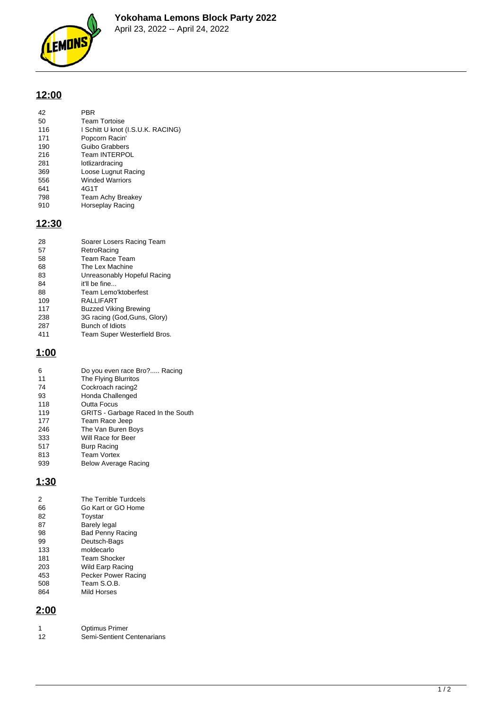

## **12:00**

| 42  | PBR                               |
|-----|-----------------------------------|
| 50  | <b>Team Tortoise</b>              |
| 116 | I Schitt U knot (I.S.U.K. RACING) |
| 171 | Popcorn Racin'                    |
| 190 | Guibo Grabbers                    |
| 216 | <b>Team INTERPOL</b>              |
| 281 | lotlizardracing                   |
| 369 | Loose Lugnut Racing               |
| 556 | <b>Winded Warriors</b>            |
| 641 | 4G1T                              |
| 798 | <b>Team Achy Breakey</b>          |
| 910 | Horseplay Racing                  |

## **12:30**

| 28  | Soarer Losers Racing Team    |
|-----|------------------------------|
| 57  | RetroRacing                  |
| 58  | Team Race Team               |
| 68  | The Lex Machine              |
| 83  | Unreasonably Hopeful Racing  |
| 84  | it'll be fine                |
| 88  | Team Lemo'ktoberfest         |
| 109 | RALLIFART                    |
| 117 | <b>Buzzed Viking Brewing</b> |
| 238 | 3G racing (God, Guns, Glory) |
| 287 | Bunch of Idiots              |
| 411 | Team Super Westerfield Bros. |

## **1:00**

| 6   |                                    |
|-----|------------------------------------|
|     | Do you even race Bro? Racing       |
| 11  | The Flying Blurritos               |
| 74  | Cockroach racing2                  |
| 93  | Honda Challenged                   |
| 118 | Outta Focus                        |
| 119 | GRITS - Garbage Raced In the South |
| 177 | Team Race Jeep                     |
| 246 | The Van Buren Boys                 |
| 333 | Will Race for Beer                 |
| 517 | <b>Burp Racing</b>                 |
| 813 | <b>Team Vortex</b>                 |
| 939 | Below Average Racing               |
|     |                                    |

## **1:30**

| 2   | The Terrible Turdcels   |
|-----|-------------------------|
| 66  | Go Kart or GO Home      |
| 82  | Toystar                 |
| 87  | <b>Barely legal</b>     |
| 98  | <b>Bad Penny Racing</b> |
| 99  | Deutsch-Bags            |
| 133 | moldecarlo              |
| 181 | Team Shocker            |
| 203 | Wild Earp Racing        |
| 453 | Pecker Power Racing     |
| 508 | Team S.O.B.             |
| 864 | Mild Horses             |

# **2:00**

|    | <b>Optimus Primer</b>      |
|----|----------------------------|
| 12 | Semi-Sentient Centenarians |